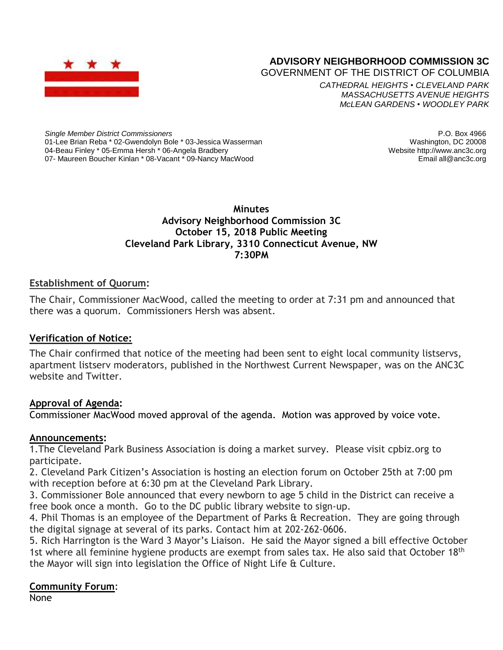

# **ADVISORY NEIGHBORHOOD COMMISSION 3C**

GOVERNMENT OF THE DISTRICT OF COLUMBIA

*CATHEDRAL HEIGHTS* • *CLEVELAND PARK MASSACHUSETTS AVENUE HEIGHTS McLEAN GARDENS* • *WOODLEY PARK*

*Single Member District Commissioners* 01-Lee Brian Reba \* 02-Gwendolyn Bole \* 03-Jessica Wasserman 04-Beau Finley \* 05-Emma Hersh \* 06-Angela Bradbery 07- Maureen Boucher Kinlan \* 08-Vacant \* 09-Nancy MacWood

P.O. Box 4966 Washington, DC 20008 Website http://www.anc3c.org Email all@anc3c.org

## **Minutes Advisory Neighborhood Commission 3C October 15, 2018 Public Meeting Cleveland Park Library, 3310 Connecticut Avenue, NW 7:30PM**

# **Establishment of Quorum:**

The Chair, Commissioner MacWood, called the meeting to order at 7:31 pm and announced that there was a quorum. Commissioners Hersh was absent.

## **Verification of Notice:**

The Chair confirmed that notice of the meeting had been sent to eight local community listservs, apartment listserv moderators, published in the Northwest Current Newspaper, was on the ANC3C website and Twitter.

## **Approval of Agenda:**

Commissioner MacWood moved approval of the agenda. Motion was approved by voice vote.

## **Announcements:**

1.The Cleveland Park Business Association is doing a market survey. Please visit cpbiz.org to participate.

2. Cleveland Park Citizen's Association is hosting an election forum on October 25th at 7:00 pm with reception before at 6:30 pm at the Cleveland Park Library.

3. Commissioner Bole announced that every newborn to age 5 child in the District can receive a free book once a month. Go to the DC public library website to sign-up.

4. Phil Thomas is an employee of the Department of Parks & Recreation. They are going through the digital signage at several of its parks. Contact him at 202-262-0606.

5. Rich Harrington is the Ward 3 Mayor's Liaison. He said the Mayor signed a bill effective October 1st where all feminine hygiene products are exempt from sales tax. He also said that October 18<sup>th</sup> the Mayor will sign into legislation the Office of Night Life & Culture.

# **Community Forum**:

None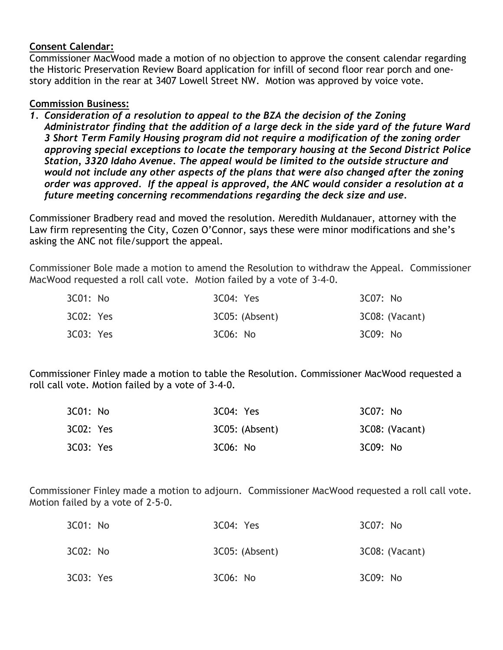## **Consent Calendar:**

Commissioner MacWood made a motion of no objection to approve the consent calendar regarding the Historic Preservation Review Board application for infill of second floor rear porch and onestory addition in the rear at 3407 Lowell Street NW. Motion was approved by voice vote.

# **Commission Business:**

*1. Consideration of a resolution to appeal to the BZA the decision of the Zoning Administrator finding that the addition of a large deck in the side yard of the future Ward 3 Short Term Family Housing program did not require a modification of the zoning order approving special exceptions to locate the temporary housing at the Second District Police Station, 3320 Idaho Avenue. The appeal would be limited to the outside structure and would not include any other aspects of the plans that were also changed after the zoning order was approved. If the appeal is approved, the ANC would consider a resolution at a future meeting concerning recommendations regarding the deck size and use.*

Commissioner Bradbery read and moved the resolution. Meredith Muldanauer, attorney with the Law firm representing the City, Cozen O'Connor, says these were minor modifications and she's asking the ANC not file/support the appeal.

Commissioner Bole made a motion to amend the Resolution to withdraw the Appeal. Commissioner MacWood requested a roll call vote. Motion failed by a vote of 3-4-0.

| 3C01: No  | 3C04: Yes      | 3C07: No       |
|-----------|----------------|----------------|
| 3C02: Yes | 3C05: (Absent) | 3C08: (Vacant) |
| 3C03: Yes | 3C06: No       | 3C09: No       |

Commissioner Finley made a motion to table the Resolution. Commissioner MacWood requested a roll call vote. Motion failed by a vote of 3-4-0.

| 3C01: No  | 3C04: Yes      | 3C07: No       |
|-----------|----------------|----------------|
| 3C02: Yes | 3C05: (Absent) | 3C08: (Vacant) |
| 3C03: Yes | 3C06: No       | 3C09: No       |

Commissioner Finley made a motion to adjourn. Commissioner MacWood requested a roll call vote. Motion failed by a vote of 2-5-0.

| 3C01: No  | 3C04: Yes      | 3C07: No       |
|-----------|----------------|----------------|
| 3C02: No  | 3C05: (Absent) | 3C08: (Vacant) |
| 3C03: Yes | 3C06: No       | 3C09: No       |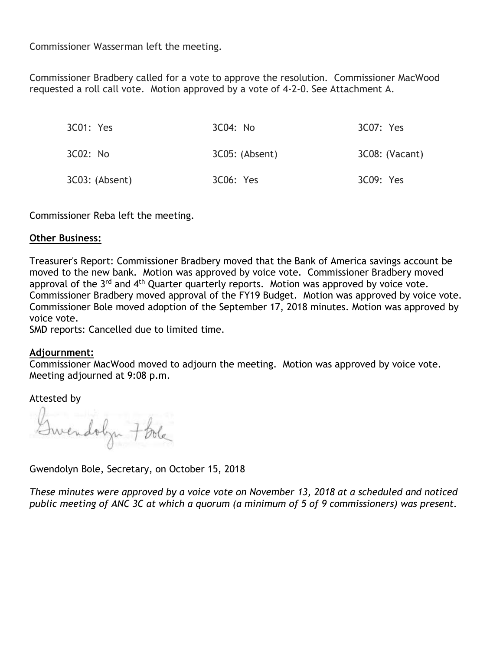Commissioner Wasserman left the meeting.

Commissioner Bradbery called for a vote to approve the resolution. Commissioner MacWood requested a roll call vote. Motion approved by a vote of 4-2-0. See Attachment A.

| 3C01: Yes      | 3C04: No       | 3C07: Yes      |
|----------------|----------------|----------------|
| 3C02: No       | 3C05: (Absent) | 3C08: (Vacant) |
| 3C03: (Absent) | 3C06: Yes      | 3C09: Yes      |

Commissioner Reba left the meeting.

#### **Other Business:**

Treasurer's Report: Commissioner Bradbery moved that the Bank of America savings account be moved to the new bank. Motion was approved by voice vote. Commissioner Bradbery moved approval of the 3<sup>rd</sup> and 4<sup>th</sup> Quarter quarterly reports. Motion was approved by voice vote. Commissioner Bradbery moved approval of the FY19 Budget. Motion was approved by voice vote. Commissioner Bole moved adoption of the September 17, 2018 minutes. Motion was approved by voice vote.

SMD reports: Cancelled due to limited time.

#### **Adjournment:**

Commissioner MacWood moved to adjourn the meeting. Motion was approved by voice vote. Meeting adjourned at 9:08 p.m.

Attested by

Gwendobyn 7 Bola

Gwendolyn Bole, Secretary, on October 15, 2018

*These minutes were approved by a voice vote on November 13, 2018 at a scheduled and noticed public meeting of ANC 3C at which a quorum (a minimum of 5 of 9 commissioners) was present.*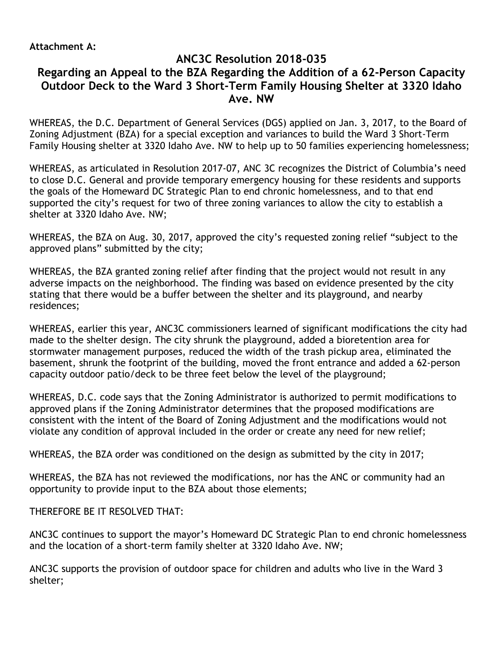# **ANC3C Resolution 2018-035 Regarding an Appeal to the BZA Regarding the Addition of a 62-Person Capacity Outdoor Deck to the Ward 3 Short-Term Family Housing Shelter at 3320 Idaho Ave. NW**

WHEREAS, the D.C. Department of General Services (DGS) applied on Jan. 3, 2017, to the Board of Zoning Adjustment (BZA) for a special exception and variances to build the Ward 3 Short-Term Family Housing shelter at 3320 Idaho Ave. NW to help up to 50 families experiencing homelessness;

WHEREAS, as articulated in Resolution 2017-07, ANC 3C recognizes the District of Columbia's need to close D.C. General and provide temporary emergency housing for these residents and supports the goals of the Homeward DC Strategic Plan to end chronic homelessness, and to that end supported the city's request for two of three zoning variances to allow the city to establish a shelter at 3320 Idaho Ave. NW;

WHEREAS, the BZA on Aug. 30, 2017, approved the city's requested zoning relief "subject to the approved plans" submitted by the city;

WHEREAS, the BZA granted zoning relief after finding that the project would not result in any adverse impacts on the neighborhood. The finding was based on evidence presented by the city stating that there would be a buffer between the shelter and its playground, and nearby residences;

WHEREAS, earlier this year, ANC3C commissioners learned of significant modifications the city had made to the shelter design. The city shrunk the playground, added a bioretention area for stormwater management purposes, reduced the width of the trash pickup area, eliminated the basement, shrunk the footprint of the building, moved the front entrance and added a 62-person capacity outdoor patio/deck to be three feet below the level of the playground;

WHEREAS, D.C. code says that the Zoning Administrator is authorized to permit modifications to approved plans if the Zoning Administrator determines that the proposed modifications are consistent with the intent of the Board of Zoning Adjustment and the modifications would not violate any condition of approval included in the order or create any need for new relief;

WHEREAS, the BZA order was conditioned on the design as submitted by the city in 2017;

WHEREAS, the BZA has not reviewed the modifications, nor has the ANC or community had an opportunity to provide input to the BZA about those elements;

THEREFORE BE IT RESOLVED THAT:

ANC3C continues to support the mayor's Homeward DC Strategic Plan to end chronic homelessness and the location of a short-term family shelter at 3320 Idaho Ave. NW;

ANC3C supports the provision of outdoor space for children and adults who live in the Ward 3 shelter;